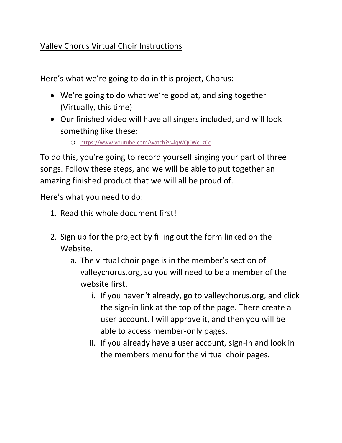## Valley Chorus Virtual Choir Instructions

Here's what we're going to do in this project, Chorus:

- We're going to do what we're good at, and sing together (Virtually, this time)
- Our finished video will have all singers included, and will look something like these:
	- o [https://www.youtube.com/watch?v=lqWQCWc\\_zCc](https://www.youtube.com/watch?v=lqWQCWc_zCc)

To do this, you're going to record yourself singing your part of three songs. Follow these steps, and we will be able to put together an amazing finished product that we will all be proud of.

Here's what you need to do:

- 1. Read this whole document first!
- 2. Sign up for the project by filling out the form linked on the Website.
	- a. The virtual choir page is in the member's section of valleychorus.org, so you will need to be a member of the website first.
		- i. If you haven't already, go to valleychorus.org, and click the sign-in link at the top of the page. There create a user account. I will approve it, and then you will be able to access member-only pages.
		- ii. If you already have a user account, sign-in and look in the members menu for the virtual choir pages.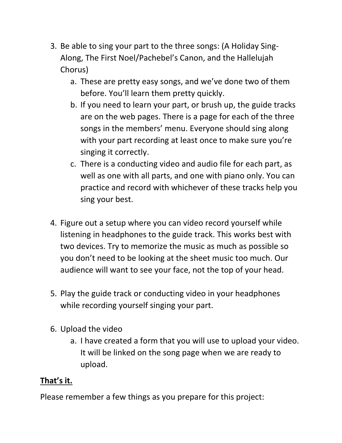- 3. Be able to sing your part to the three songs: (A Holiday Sing-Along, The First Noel/Pachebel's Canon, and the Hallelujah Chorus)
	- a. These are pretty easy songs, and we've done two of them before. You'll learn them pretty quickly.
	- b. If you need to learn your part, or brush up, the guide tracks are on the web pages. There is a page for each of the three songs in the members' menu. Everyone should sing along with your part recording at least once to make sure you're singing it correctly.
	- c. There is a conducting video and audio file for each part, as well as one with all parts, and one with piano only. You can practice and record with whichever of these tracks help you sing your best.
- 4. Figure out a setup where you can video record yourself while listening in headphones to the guide track. This works best with two devices. Try to memorize the music as much as possible so you don't need to be looking at the sheet music too much. Our audience will want to see your face, not the top of your head.
- 5. Play the guide track or conducting video in your headphones while recording yourself singing your part.
- 6. Upload the video
	- a. I have created a form that you will use to upload your video. It will be linked on the song page when we are ready to upload.

## **That's it.**

Please remember a few things as you prepare for this project: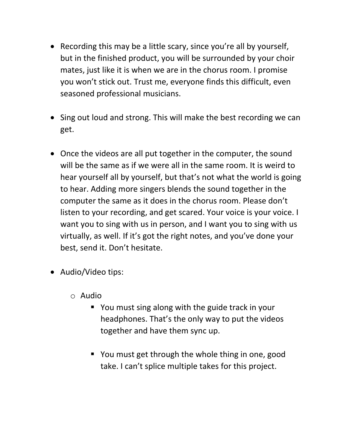- Recording this may be a little scary, since you're all by yourself, but in the finished product, you will be surrounded by your choir mates, just like it is when we are in the chorus room. I promise you won't stick out. Trust me, everyone finds this difficult, even seasoned professional musicians.
- Sing out loud and strong. This will make the best recording we can get.
- Once the videos are all put together in the computer, the sound will be the same as if we were all in the same room. It is weird to hear yourself all by yourself, but that's not what the world is going to hear. Adding more singers blends the sound together in the computer the same as it does in the chorus room. Please don't listen to your recording, and get scared. Your voice is your voice. I want you to sing with us in person, and I want you to sing with us virtually, as well. If it's got the right notes, and you've done your best, send it. Don't hesitate.
- Audio/Video tips:
	- o Audio
		- You must sing along with the guide track in your headphones. That's the only way to put the videos together and have them sync up.
		- You must get through the whole thing in one, good take. I can't splice multiple takes for this project.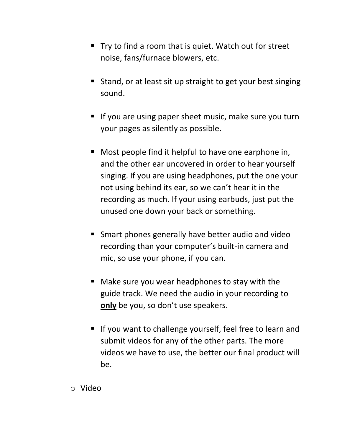- Try to find a room that is quiet. Watch out for street noise, fans/furnace blowers, etc.
- Stand, or at least sit up straight to get your best singing sound.
- If you are using paper sheet music, make sure you turn your pages as silently as possible.
- Most people find it helpful to have one earphone in, and the other ear uncovered in order to hear yourself singing. If you are using headphones, put the one your not using behind its ear, so we can't hear it in the recording as much. If your using earbuds, just put the unused one down your back or something.
- Smart phones generally have better audio and video recording than your computer's built-in camera and mic, so use your phone, if you can.
- Make sure you wear headphones to stay with the guide track. We need the audio in your recording to **only** be you, so don't use speakers.
- If you want to challenge yourself, feel free to learn and submit videos for any of the other parts. The more videos we have to use, the better our final product will be.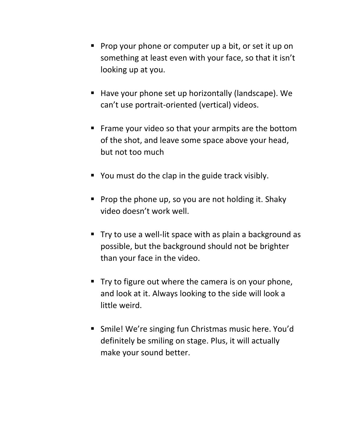- Prop your phone or computer up a bit, or set it up on something at least even with your face, so that it isn't looking up at you.
- Have your phone set up horizontally (landscape). We can't use portrait-oriented (vertical) videos.
- Frame your video so that your armpits are the bottom of the shot, and leave some space above your head, but not too much
- You must do the clap in the guide track visibly.
- Prop the phone up, so you are not holding it. Shaky video doesn't work well.
- Try to use a well-lit space with as plain a background as possible, but the background should not be brighter than your face in the video.
- Try to figure out where the camera is on your phone, and look at it. Always looking to the side will look a little weird.
- Smile! We're singing fun Christmas music here. You'd definitely be smiling on stage. Plus, it will actually make your sound better.